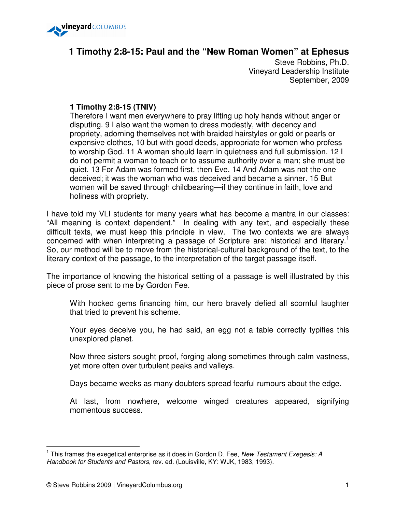

# **1 Timothy 2:8-15: Paul and the "New Roman Women" at Ephesus**

Steve Robbins, Ph.D. Vineyard Leadership Institute September, 2009

# **1 Timothy 2:8-15 (TNIV)**

Therefore I want men everywhere to pray lifting up holy hands without anger or disputing. 9 I also want the women to dress modestly, with decency and propriety, adorning themselves not with braided hairstyles or gold or pearls or expensive clothes, 10 but with good deeds, appropriate for women who profess to worship God. 11 A woman should learn in quietness and full submission. 12 I do not permit a woman to teach or to assume authority over a man; she must be quiet. 13 For Adam was formed first, then Eve. 14 And Adam was not the one deceived; it was the woman who was deceived and became a sinner. 15 But women will be saved through childbearing—if they continue in faith, love and holiness with propriety.

I have told my VLI students for many years what has become a mantra in our classes: "All meaning is context dependent." In dealing with any text, and especially these difficult texts, we must keep this principle in view. The two contexts we are always concerned with when interpreting a passage of Scripture are: historical and literary.<sup>1</sup> So, our method will be to move from the historical-cultural background of the text, to the literary context of the passage, to the interpretation of the target passage itself.

The importance of knowing the historical setting of a passage is well illustrated by this piece of prose sent to me by Gordon Fee.

With hocked gems financing him, our hero bravely defied all scornful laughter that tried to prevent his scheme.

Your eyes deceive you, he had said, an egg not a table correctly typifies this unexplored planet.

Now three sisters sought proof, forging along sometimes through calm vastness, yet more often over turbulent peaks and valleys.

Days became weeks as many doubters spread fearful rumours about the edge.

At last, from nowhere, welcome winged creatures appeared, signifying momentous success.

<sup>&</sup>lt;sup>1</sup> This frames the exegetical enterprise as it does in Gordon D. Fee, New Testament Exegesis: A Handbook for Students and Pastors, rev. ed. (Louisville, KY: WJK, 1983, 1993).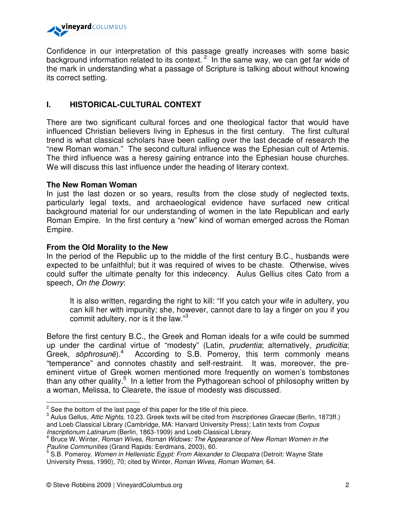

Confidence in our interpretation of this passage greatly increases with some basic background information related to its context.<sup>2</sup> In the same way, we can get far wide of the mark in understanding what a passage of Scripture is talking about without knowing its correct setting.

# **I. HISTORICAL-CULTURAL CONTEXT**

There are two significant cultural forces and one theological factor that would have influenced Christian believers living in Ephesus in the first century. The first cultural trend is what classical scholars have been calling over the last decade of research the "new Roman woman." The second cultural influence was the Ephesian cult of Artemis. The third influence was a heresy gaining entrance into the Ephesian house churches. We will discuss this last influence under the heading of literary context.

### **The New Roman Woman**

In just the last dozen or so years, results from the close study of neglected texts, particularly legal texts, and archaeological evidence have surfaced new critical background material for our understanding of women in the late Republican and early Roman Empire. In the first century a "new" kind of woman emerged across the Roman Empire.

## **From the Old Morality to the New**

In the period of the Republic up to the middle of the first century B.C., husbands were expected to be unfaithful; but it was required of wives to be chaste. Otherwise, wives could suffer the ultimate penalty for this indecency. Aulus Gellius cites Cato from a speech, On the Dowry:

It is also written, regarding the right to kill: "If you catch your wife in adultery, you can kill her with impunity; she, however, cannot dare to lay a finger on you if you commit adultery, nor is it the law."<sup>3</sup>

Before the first century B.C., the Greek and Roman ideals for a wife could be summed up under the cardinal virtue of "modesty" (Latin, *prudentia*; alternatively, *prudicitia*; Greek, sophrosune).<sup>4</sup> According to S.B. Pomeroy, this term commonly means "temperance" and connotes chastity and self-restraint. It was, moreover, the preeminent virtue of Greek women mentioned more frequently on women's tombstones than any other quality.<sup>5</sup> In a letter from the Pythagorean school of philosophy written by a woman, Melissa, to Clearete, the issue of modesty was discussed.

 $2^2$  See the bottom of the last page of this paper for the title of this piece.

<sup>&</sup>lt;sup>3</sup> Aulus Gellus, Attic Nights, 10.23. Greek texts will be cited from *Inscriptiones Graecae* (Berlin, 1873ff.) and Loeb Classical Library (Cambridge, MA: Harvard University Press); Latin texts from Corpus Inscriptionum Latinarum (Berlin, 1863-1909) and Loeb Classical Library.

<sup>&</sup>lt;sup>4</sup> Bruce W. Winter, Roman Wives, Roman Widows: The Appearance of New Roman Women in the Pauline Communities (Grand Rapids: Eerdmans, 2003), 60.

<sup>&</sup>lt;sup>5</sup> S.B. Pomeroy, Women in Hellenistic Egypt: From Alexander to Cleopatra (Detroit: Wayne State University Press, 1990), 70; cited by Winter, Roman Wives, Roman Women, 64.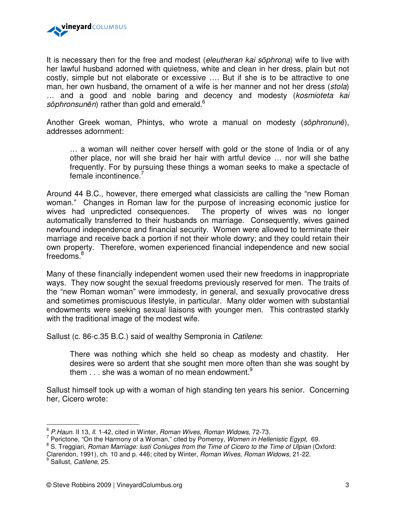

It is necessary then for the free and modest (eleutheran kai sophrona) wife to live with her lawful husband adorned with quietness, white and clean in her dress, plain but not costly, simple but not elaborate or excessive …. But if she is to be attractive to one man, her own husband, the ornament of a wife is her manner and not her dress (stola) ... and a good and noble baring and decency and modesty (kosmioteta kai sōphronsunēn) rather than gold and emerald. $6$ 

Another Greek woman, Phintys, who wrote a manual on modesty (sōphronunē), addresses adornment:

… a woman will neither cover herself with gold or the stone of India or of any other place, nor will she braid her hair with artful device … nor will she bathe frequently. For by pursuing these things a woman seeks to make a spectacle of female incontinence.<sup>7</sup>

Around 44 B.C., however, there emerged what classicists are calling the "new Roman woman." Changes in Roman law for the purpose of increasing economic justice for wives had unpredicted consequences. The property of wives was no longer automatically transferred to their husbands on marriage. Consequently, wives gained newfound independence and financial security. Women were allowed to terminate their marriage and receive back a portion if not their whole dowry; and they could retain their own property. Therefore, women experienced financial independence and new social freedoms.<sup>8</sup>

Many of these financially independent women used their new freedoms in inappropriate ways. They now sought the sexual freedoms previously reserved for men. The traits of the "new Roman woman" were immodesty, in general, and sexually provocative dress and sometimes promiscuous lifestyle, in particular. Many older women with substantial endowments were seeking sexual liaisons with younger men. This contrasted starkly with the traditional image of the modest wife.

Sallust (c. 86-c.35 B.C.) said of wealthy Sempronia in Catilene:

There was nothing which she held so cheap as modesty and chastity. Her desires were so ardent that she sought men more often than she was sought by them  $\ldots$  she was a woman of no mean endowment.<sup>9</sup>

Sallust himself took up with a woman of high standing ten years his senior. Concerning her, Cicero wrote:

 $\frac{6}{5}$  P.Haun. II 13, II. 1-42, cited in Winter, Roman Wives, Roman Widows, 72-73.

<sup>&</sup>lt;sup>7</sup> Perictone, "On the Harmony of a Woman," cited by Pomeroy, Women in Hellenistic Egypt, 69.

<sup>&</sup>lt;sup>8</sup> S. Treggiari, Roman Marriage: lusti Coniuges from the Time of Cicero to the Time of Ulpian (Oxford: Clarendon, 1991), ch. 10 and p. 446; cited by Winter, Roman Wives, Roman Widows, 21-22.

<sup>&</sup>lt;sup>9</sup> Sallust, Catilene, 25.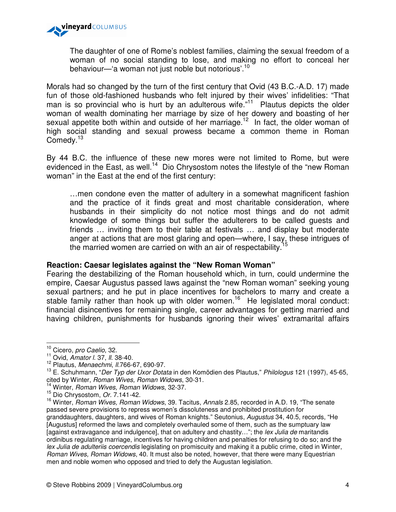

The daughter of one of Rome's noblest families, claiming the sexual freedom of a woman of no social standing to lose, and making no effort to conceal her behaviour—'a woman not just noble but notorious'.<sup>10</sup>

Morals had so changed by the turn of the first century that Ovid (43 B.C.-A.D. 17) made fun of those old-fashioned husbands who felt injured by their wives' infidelities: "That man is so provincial who is hurt by an adulterous wife."<sup>11</sup> Plautus depicts the older woman of wealth dominating her marriage by size of her dowery and boasting of her sexual appetite both within and outside of her marriage.<sup>12</sup> In fact, the older woman of high social standing and sexual prowess became a common theme in Roman Comedy.<sup>13</sup>

By 44 B.C. the influence of these new mores were not limited to Rome, but were evidenced in the East, as well.<sup>14</sup> Dio Chrysostom notes the lifestyle of the "new Roman woman" in the East at the end of the first century:

…men condone even the matter of adultery in a somewhat magnificent fashion and the practice of it finds great and most charitable consideration, where husbands in their simplicity do not notice most things and do not admit knowledge of some things but suffer the adulterers to be called guests and friends … inviting them to their table at festivals … and display but moderate anger at actions that are most glaring and open—where, I say, these intrigues of the married women are carried on with an air of respectability.<sup>1</sup>

### **Reaction: Caesar legislates against the "New Roman Woman"**

Fearing the destabilizing of the Roman household which, in turn, could undermine the empire, Caesar Augustus passed laws against the "new Roman woman" seeking young sexual partners; and he put in place incentives for bachelors to marry and create a stable family rather than hook up with older women.<sup>16</sup> He legislated moral conduct: financial disincentives for remaining single, career advantages for getting married and having children, punishments for husbands ignoring their wives' extramarital affairs

<sup>&</sup>lt;sup>10</sup> Cicero, pro Caelio, 32.

 $11$  Ovid, Amator I. 37, II. 38-40.

 $12$  Plautus, Menaechmi, II.766-67, 690-97.

<sup>&</sup>lt;sup>13</sup> E. Schuhmann, "Der Typ der Uxor Dotata in den Komödien des Plautus," Philologus 121 (1997), 45-65, cited by Winter, Roman Wives, Roman Widows, 30-31.

 $14$  Winter, Roman Wives, Roman Widows, 32-37.

<sup>&</sup>lt;sup>15</sup> Dio Chrysostom, Or. 7.141-42.

<sup>&</sup>lt;sup>16</sup> Winter, *Roman Wives, Roman Widows*, 39. Tacitus, Annals 2.85, recorded in A.D. 19, "The senate passed severe provisions to repress women's dissoluteness and prohibited prostitution for granddaughters, daughters, and wives of Roman knights." Seutonius, Augustus 34, 40.5, records, "He [Augustus] reformed the laws and completely overhauled some of them, such as the sumptuary law [against extravagance and indulgence], that on adultery and chastity..."; the lex Julia de maritandis ordinibus regulating marriage, incentives for having children and penalties for refusing to do so; and the lex Julia de adulteriis coercendis legislating on promiscuity and making it a public crime, cited in Winter, Roman Wives, Roman Widows, 40. It must also be noted, however, that there were many Equestrian men and noble women who opposed and tried to defy the Augustan legislation.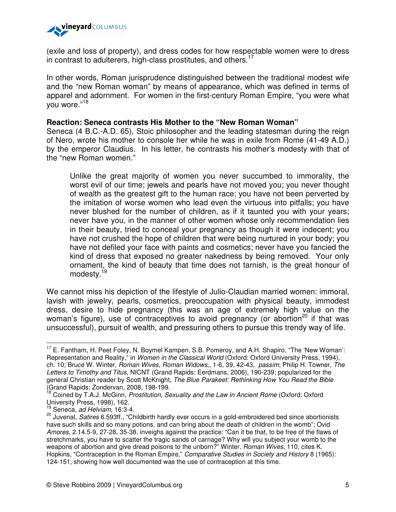

(exile and loss of property), and dress codes for how respectable women were to dress in contrast to adulterers, high-class prostitutes, and others.<sup>17</sup>

In other words, Roman jurisprudence distinguished between the traditional modest wife and the "new Roman woman" by means of appearance, which was defined in terms of apparel and adornment. For women in the first-century Roman Empire, "you were what you wore."<sup>18</sup>

### **Reaction: Seneca contrasts His Mother to the "New Roman Woman"**

Seneca (4 B.C.-A.D. 65), Stoic philosopher and the leading statesman during the reign of Nero, wrote his mother to console her while he was in exile from Rome (41-49 A.D.) by the emperor Claudius. In his letter, he contrasts his mother's modesty with that of the "new Roman women."

Unlike the great majority of women you never succumbed to immorality, the worst evil of our time; jewels and pearls have not moved you; you never thought of wealth as the greatest gift to the human race; you have not been perverted by the imitation of worse women who lead even the virtuous into pitfalls; you have never blushed for the number of children, as if it taunted you with your years; never have you, in the manner of other women whose only recommendation lies in their beauty, tried to conceal your pregnancy as though it were indecent; you have not crushed the hope of children that were being nurtured in your body; you have not defiled your face with paints and cosmetics; never have you fancied the kind of dress that exposed no greater nakedness by being removed. Your only ornament, the kind of beauty that time does not tarnish, is the great honour of modesty.<sup>19</sup>

We cannot miss his depiction of the lifestyle of Julio-Claudian married women: immoral, lavish with jewelry, pearls, cosmetics, preoccupation with physical beauty, immodest dress, desire to hide pregnancy (this was an age of extremely high value on the woman's figure), use of contraceptives to avoid pregnancy (or abortion<sup>20</sup> if that was unsuccessful), pursuit of wealth, and pressuring others to pursue this trendy way of life.

<sup>&</sup>lt;sup>17</sup> E. Fantham, H. Peet Foley, N. Boymel Kampen, S.B. Pomeroy, and A.H. Shapiro, "The 'New Woman': Representation and Reality," in Women in the Classical World (Oxford: Oxford University Press, 1994), ch. 10; Bruce W. Winter, Roman Wives, Roman Widows,, 1-6, 39, 42-43, passim; Philip H. Towner, The Letters to Timothy and Titus, NICNT (Grand Rapids: Eerdmans, 2006), 190-239; popularized for the general Christian reader by Scott McKnight, The Blue Parakeet: Rethinking How You Read the Bible (Grand Rapids: Zondervan, 2008, 198-199.

Coined by T.A.J. McGinn, Prostitution, Sexuality and the Law in Ancient Rome (Oxford: Oxford University Press, 1998), 162.

 $19$  Seneca, ad Helviam, 16:3-4.

<sup>20</sup> Juvenal, Satires 6.593ff., "Childbirth hardly ever occurs in a gold-embroidered bed since abortionists have such skills and so many potions, and can bring about the death of children in the womb"; Ovid Amores, 2.14.5-9, 27-28, 35-38, inveighs against the practice: "Can it be that, to be free of the flaws of stretchmarks, you have to scatter the tragic sands of carnage? Why will you subject your womb to the weapons of abortion and give dread poisons to the unborn?" Winter, *Roman Wives*, 110, cites K. Hopkins, "Contraception in the Roman Empire," Comparative Studies in Society and History 8 (1965): 124-151, showing how well documented was the use of contraception at this time.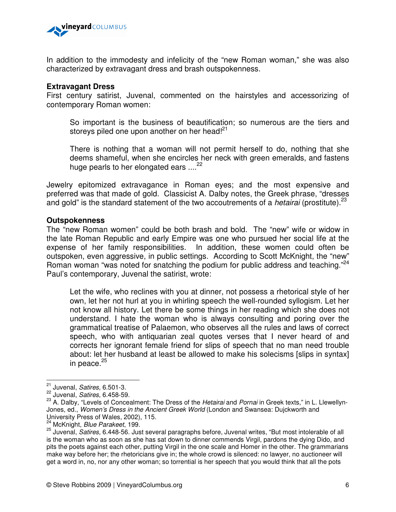

In addition to the immodesty and infelicity of the "new Roman woman," she was also characterized by extravagant dress and brash outspokenness.

#### **Extravagant Dress**

First century satirist, Juvenal, commented on the hairstyles and accessorizing of contemporary Roman women:

So important is the business of beautification; so numerous are the tiers and storeys piled one upon another on her head!<sup>21</sup>

There is nothing that a woman will not permit herself to do, nothing that she deems shameful, when she encircles her neck with green emeralds, and fastens huge pearls to her elongated ears  $....^{22}$ 

Jewelry epitomized extravagance in Roman eyes; and the most expensive and preferred was that made of gold. Classicist A. Dalby notes, the Greek phrase, "dresses and gold" is the standard statement of the two accoutrements of a *hetairai* (prostitute).<sup>23</sup>

#### **Outspokenness**

The "new Roman women" could be both brash and bold. The "new" wife or widow in the late Roman Republic and early Empire was one who pursued her social life at the expense of her family responsibilities. In addition, these women could often be outspoken, even aggressive, in public settings. According to Scott McKnight, the "new" Roman woman "was noted for snatching the podium for public address and teaching."<sup>24</sup> Paul's contemporary, Juvenal the satirist, wrote:

Let the wife, who reclines with you at dinner, not possess a rhetorical style of her own, let her not hurl at you in whirling speech the well-rounded syllogism. Let her not know all history. Let there be some things in her reading which she does not understand. I hate the woman who is always consulting and poring over the grammatical treatise of Palaemon, who observes all the rules and laws of correct speech, who with antiquarian zeal quotes verses that I never heard of and corrects her ignorant female friend for slips of speech that no man need trouble about: let her husband at least be allowed to make his solecisms [slips in syntax] in peace.<sup>25</sup>

<sup>&</sup>lt;sup>21</sup> Juvenal, Satires, 6.501-3.

<sup>22</sup> Juvenal, Satires, 6.458-59.

<sup>&</sup>lt;sup>23</sup> A. Dalby, "Levels of Concealment: The Dress of the Hetairai and Pornai in Greek texts," in L. Llewellyn-Jones, ed., Women's Dress in the Ancient Greek World (London and Swansea: Dujckworth and University Press of Wales, 2002), 115.

<sup>&</sup>lt;sup>24</sup> McKnight, Blue Parakeet, 199.

<sup>25</sup> Juvenal, Satires, 6.448-56. Just several paragraphs before, Juvenal writes, "But most intolerable of all is the woman who as soon as she has sat down to dinner commends Virgil, pardons the dying Dido, and pits the poets against each other, putting Virgil in the one scale and Homer in the other. The grammarians make way before her; the rhetoricians give in; the whole crowd is silenced: no lawyer, no auctioneer will get a word in, no, nor any other woman; so torrential is her speech that you would think that all the pots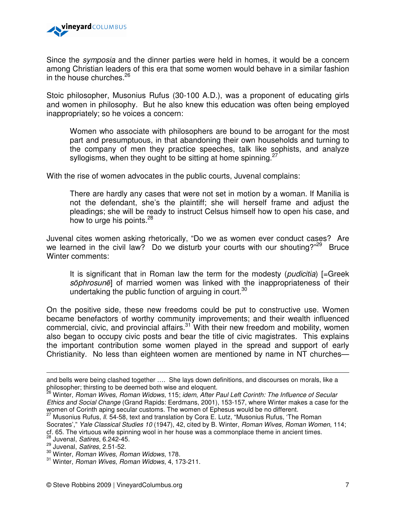

Since the *symposia* and the dinner parties were held in homes, it would be a concern among Christian leaders of this era that some women would behave in a similar fashion in the house churches.  $26$ 

Stoic philosopher, Musonius Rufus (30-100 A.D.), was a proponent of educating girls and women in philosophy. But he also knew this education was often being employed inappropriately; so he voices a concern:

Women who associate with philosophers are bound to be arrogant for the most part and presumptuous, in that abandoning their own households and turning to the company of men they practice speeches, talk like sophists, and analyze syllogisms, when they ought to be sitting at home spinning. $\frac{2}{3}$ 

With the rise of women advocates in the public courts, Juvenal complains:

There are hardly any cases that were not set in motion by a woman. If Manilia is not the defendant, she's the plaintiff; she will herself frame and adjust the pleadings; she will be ready to instruct Celsus himself how to open his case, and how to urge his points.<sup>28</sup>

Juvenal cites women asking rhetorically, "Do we as women ever conduct cases? Are we learned in the civil law? Do we disturb your courts with our shouting? $2^{29}$  Bruce Winter comments:

It is significant that in Roman law the term for the modesty (*pudicitia*) [=Greek sōphrosunē] of married women was linked with the inappropriateness of their undertaking the public function of arguing in court.<sup>30</sup>

On the positive side, these new freedoms could be put to constructive use. Women became benefactors of worthy community improvements; and their wealth influenced commercial, civic, and provincial affairs. $31$  With their new freedom and mobility, women also began to occupy civic posts and bear the title of civic magistrates. This explains the important contribution some women played in the spread and support of early Christianity. No less than eighteen women are mentioned by name in NT churches—

l.

and bells were being clashed together …. She lays down definitions, and discourses on morals, like a philosopher; thirsting to be deemed both wise and eloquent.

<sup>26</sup> Winter, Roman Wives, Roman Widows, 115; idem, After Paul Left Corinth: The Influence of Secular Ethics and Social Change (Grand Rapids: Eerdmans, 2001), 153-157, where Winter makes a case for the women of Corinth aping secular customs. The women of Ephesus would be no different.

<sup>&</sup>lt;sup>27</sup> Musonius Rufus, *II.* 54-58, text and translation by Cora E. Lutz, "Musonius Rufus, 'The Roman Socrates'," Yale Classical Studies 10 (1947), 42, cited by B. Winter, Roman Wives, Roman Women, 114;

cf. 65. The virtuous wife spinning wool in her house was a commonplace theme in ancient times.

 $^{28}$  Juvenal, Satires, 6.242-45.

 $29$  Juvenal, Satires, 2.51-52.

<sup>&</sup>lt;sup>30</sup> Winter, Roman Wives, Roman Widows, 178.

<sup>31</sup> Winter, Roman Wives, Roman Widows, 4, 173-211.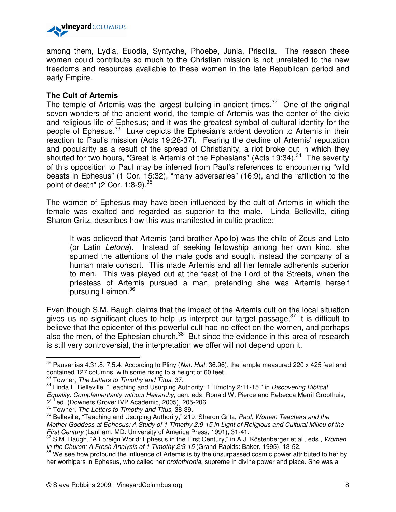

among them, Lydia, Euodia, Syntyche, Phoebe, Junia, Priscilla. The reason these women could contribute so much to the Christian mission is not unrelated to the new freedoms and resources available to these women in the late Republican period and early Empire.

## **The Cult of Artemis**

The temple of Artemis was the largest building in ancient times. $32$  One of the original seven wonders of the ancient world, the temple of Artemis was the center of the civic and religious life of Ephesus; and it was the greatest symbol of cultural identity for the people of Ephesus.<sup>33</sup> Luke depicts the Ephesian's ardent devotion to Artemis in their reaction to Paul's mission (Acts 19:28-37). Fearing the decline of Artemis' reputation and popularity as a result of the spread of Christianity, a riot broke out in which they shouted for two hours, "Great is Artemis of the Ephesians" (Acts 19:34). $34$  The severity of this opposition to Paul may be inferred from Paul's references to encountering "wild beasts in Ephesus" (1 Cor. 15:32), "many adversaries" (16:9), and the "affliction to the point of death" (2 Cor. 1:8-9).<sup>35</sup>

The women of Ephesus may have been influenced by the cult of Artemis in which the female was exalted and regarded as superior to the male. Linda Belleville, citing Sharon Gritz, describes how this was manifested in cultic practice:

It was believed that Artemis (and brother Apollo) was the child of Zeus and Leto (or Latin Letona). Instead of seeking fellowship among her own kind, she spurned the attentions of the male gods and sought instead the company of a human male consort. This made Artemis and all her female adherents superior to men. This was played out at the feast of the Lord of the Streets, when the priestess of Artemis pursued a man, pretending she was Artemis herself pursuing Leimon.<sup>36</sup>

Even though S.M. Baugh claims that the impact of the Artemis cult on the local situation gives us no significant clues to help us interpret our target passage,<sup>37</sup> it is difficult to believe that the epicenter of this powerful cult had no effect on the women, and perhaps also the men, of the Ephesian church.<sup>38</sup> But since the evidence in this area of research is still very controversial, the interpretation we offer will not depend upon it.

 $32$  Pausanias 4.31.8; 7.5.4. According to Pliny (Nat. Hist. 36.96), the temple measured 220 x 425 feet and contained 127 columns, with some rising to a height of 60 feet.

 $33$  Towner, The Letters to Timothy and Titus, 37.

<sup>&</sup>lt;sup>34</sup> Linda L. Belleville, "Teaching and Usurping Authority: 1 Timothy 2:11-15," in Discovering Biblical Equality: Complementarity without Heirarchy, gen. eds. Ronald W. Pierce and Rebecca Merril Groothuis, 2<sup>nd</sup> ed. (Downers Grove: IVP Academic, 2005), 205-206.

 $35$  Towner. The Letters to Timothy and Titus, 38-39.

<sup>&</sup>lt;sup>36</sup> Belleville, "Teaching and Usurping Authority," 219; Sharon Gritz, Paul, Women Teachers and the Mother Goddess at Ephesus: A Study of 1 Timothy 2:9-15 in Light of Religious and Cultural Milieu of the First Century (Lanham, MD: University of America Press, 1991), 31-41.

<sup>&</sup>lt;sup>37</sup> S.M. Baugh, "A Foreign World: Ephesus in the First Century," in A.J. Köstenberger et al., eds., Women in the Church: A Fresh Analysis of 1 Timothy 2:9-15 (Grand Rapids: Baker, 1995), 13-52.

<sup>&</sup>lt;sup>38</sup> We see how profound the influence of Artemis is by the unsurpassed cosmic power attributed to her by her worhipers in Ephesus, who called her *protothronia*, supreme in divine power and place. She was a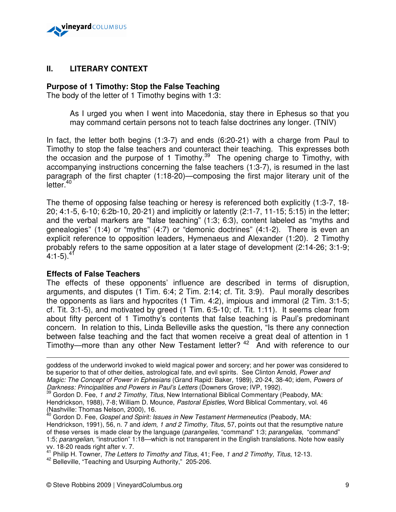

# **II. LITERARY CONTEXT**

## **Purpose of 1 Timothy: Stop the False Teaching**

The body of the letter of 1 Timothy begins with 1:3:

As I urged you when I went into Macedonia, stay there in Ephesus so that you may command certain persons not to teach false doctrines any longer. (TNIV)

In fact, the letter both begins (1:3-7) and ends (6:20-21) with a charge from Paul to Timothy to stop the false teachers and counteract their teaching. This expresses both the occasion and the purpose of 1 Timothy.<sup>39</sup> The opening charge to Timothy, with accompanying instructions concerning the false teachers (1:3-7), is resumed in the last paragraph of the first chapter (1:18-20)—composing the first major literary unit of the letter.<sup>40</sup>

The theme of opposing false teaching or heresy is referenced both explicitly (1:3-7, 18- 20; 4:1-5, 6-10; 6:2b-10, 20-21) and implicitly or latently (2:1-7, 11-15; 5:15) in the letter; and the verbal markers are "false teaching" (1:3; 6:3), content labeled as "myths and genealogies" (1:4) or "myths" (4:7) or "demonic doctrines" (4:1-2). There is even an explicit reference to opposition leaders, Hymenaeus and Alexander (1:20). 2 Timothy probably refers to the same opposition at a later stage of development (2:14-26; 3:1-9;  $4:1-5$ ).<sup>41</sup>

### **Effects of False Teachers**

 $\overline{a}$ 

The effects of these opponents' influence are described in terms of disruption, arguments, and disputes (1 Tim. 6:4; 2 Tim. 2:14; cf. Tit. 3:9). Paul morally describes the opponents as liars and hypocrites (1 Tim. 4:2), impious and immoral (2 Tim. 3:1-5; cf. Tit. 3:1-5), and motivated by greed (1 Tim. 6:5-10; cf. Tit. 1:11). It seems clear from about fifty percent of 1 Timothy's contents that false teaching is Paul's predominant concern. In relation to this, Linda Belleville asks the question, "Is there any connection between false teaching and the fact that women receive a great deal of attention in 1 Timothy—more than any other New Testament letter?<sup>42</sup> And with reference to our

goddess of the underworld invoked to wield magical power and sorcery; and her power was considered to be superior to that of other deities, astrological fate, and evil spirits. See Clinton Arnold, Power and Magic: The Concept of Power in Ephesians (Grand Rapid: Baker, 1989), 20-24, 38-40; idem, Powers of Darkness: Principalities and Powers in Paul's Letters (Downers Grove; IVP, 1992).

Gordon D. Fee, 1 and 2 Timothy, Titus, New International Biblical Commentary (Peabody, MA: Hendrickson, 1988), 7-8; William D. Mounce, Pastoral Epistles, Word Biblical Commentary, vol. 46 (Nashville: Thomas Nelson, 2000), 16.

<sup>2</sup> Gordon D. Fee, *Gospel and Spirit: Issues in New Testament Hermeneutics* (Peabody, MA: Hendrickson, 1991), 56, n. 7 and *idem, 1 and 2 Timothy, Titus*, 57, points out that the resumptive nature of these verses is made clear by the language (parangeiles, "command" 1:3; parangelias, "command" 1:5; parangelian, "instruction" 1:18—which is not transparent in the English translations. Note how easily vv. 18-20 reads right after v. 7.

<sup>41</sup> Philip H. Towner, The Letters to Timothy and Titus, 41; Fee, 1 and 2 Timothy, Titus, 12-13.

<sup>42</sup> Belleville, "Teaching and Usurping Authority," 205-206.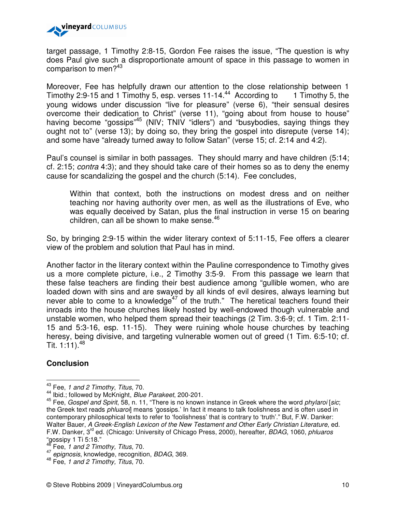

target passage, 1 Timothy 2:8-15, Gordon Fee raises the issue, "The question is why does Paul give such a disproportionate amount of space in this passage to women in comparison to men?<sup>43</sup>

Moreover, Fee has helpfully drawn our attention to the close relationship between 1 Timothy 2:9-15 and 1 Timothy 5, esp. verses 11-14.<sup>44</sup> According to 1 Timothy 5, the young widows under discussion "live for pleasure" (verse 6), "their sensual desires overcome their dedication to Christ" (verse 11), "going about from house to house" having become "gossips"<sup>45</sup> (NIV; TNIV "idlers") and "busybodies, saying things they ought not to" (verse 13); by doing so, they bring the gospel into disrepute (verse 14); and some have "already turned away to follow Satan" (verse 15; cf. 2:14 and 4:2).

Paul's counsel is similar in both passages. They should marry and have children (5:14; cf. 2:15; contra 4:3); and they should take care of their homes so as to deny the enemy cause for scandalizing the gospel and the church (5:14). Fee concludes,

Within that context, both the instructions on modest dress and on neither teaching nor having authority over men, as well as the illustrations of Eve, who was equally deceived by Satan, plus the final instruction in verse 15 on bearing children, can all be shown to make sense. $46$ 

So, by bringing 2:9-15 within the wider literary context of 5:11-15, Fee offers a clearer view of the problem and solution that Paul has in mind.

Another factor in the literary context within the Pauline correspondence to Timothy gives us a more complete picture, i.e., 2 Timothy 3:5-9. From this passage we learn that these false teachers are finding their best audience among "gullible women, who are loaded down with sins and are swayed by all kinds of evil desires, always learning but never able to come to a knowledge $47$  of the truth." The heretical teachers found their inroads into the house churches likely hosted by well-endowed though vulnerable and unstable women, who helped them spread their teachings (2 Tim. 3:6-9; cf. 1 Tim. 2:11- 15 and 5:3-16, esp. 11-15). They were ruining whole house churches by teaching heresy, being divisive, and targeting vulnerable women out of greed (1 Tim. 6:5-10; cf. Tit. 1:11). $48$ 

## **Conclusion**

 $43$  Fee, 1 and 2 Timothy, Titus, 70.

<sup>44</sup> Ibid.; followed by McKnight, Blue Parakeet, 200-201.

 $45$  Fee, Gospel and Spirit, 58, n. 11, "There is no known instance in Greek where the word phylaroi [sic; the Greek text reads *phluaroi*] means 'gossips.' In fact it means to talk foolishness and is often used in contemporary philosophical texts to refer to 'foolishness' that is contrary to 'truth'." But, F.W. Danker: Walter Bauer, A Greek-English Lexicon of the New Testament and Other Early Christian Literature, ed. F.W. Danker, 3<sup>rd</sup> ed. (Chicago: University of Chicago Press, 2000), hereafter, *BDAG*, 1060, *phluaros* "gossipy 1 Ti 5:18."

Fee, 1 and 2 Timothy, Titus, 70.

<sup>47</sup> epignosis, knowledge, recognition, BDAG, 369.

<sup>&</sup>lt;sup>48</sup> Fee, 1 and 2 Timothy, Titus, 70.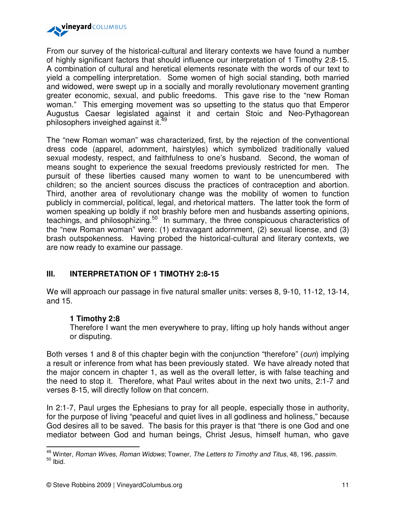

From our survey of the historical-cultural and literary contexts we have found a number of highly significant factors that should influence our interpretation of 1 Timothy 2:8-15. A combination of cultural and heretical elements resonate with the words of our text to yield a compelling interpretation. Some women of high social standing, both married and widowed, were swept up in a socially and morally revolutionary movement granting greater economic, sexual, and public freedoms. This gave rise to the "new Roman woman." This emerging movement was so upsetting to the status quo that Emperor Augustus Caesar legislated against it and certain Stoic and Neo-Pythagorean philosophers inveighed against it.<sup>49</sup>

The "new Roman woman" was characterized, first, by the rejection of the conventional dress code (apparel, adornment, hairstyles) which symbolized traditionally valued sexual modesty, respect, and faithfulness to one's husband. Second, the woman of means sought to experience the sexual freedoms previously restricted for men. The pursuit of these liberties caused many women to want to be unencumbered with children; so the ancient sources discuss the practices of contraception and abortion. Third, another area of revolutionary change was the mobility of women to function publicly in commercial, political, legal, and rhetorical matters. The latter took the form of women speaking up boldly if not brashly before men and husbands asserting opinions, teachings, and philosophizing.<sup>50</sup> In summary, the three conspicuous characteristics of the "new Roman woman" were: (1) extravagant adornment, (2) sexual license, and (3) brash outspokenness. Having probed the historical-cultural and literary contexts, we are now ready to examine our passage.

# **III. INTERPRETATION OF 1 TIMOTHY 2:8-15**

We will approach our passage in five natural smaller units: verses 8, 9-10, 11-12, 13-14, and 15.

## **1 Timothy 2:8**

 $\overline{a}$ 

Therefore I want the men everywhere to pray, lifting up holy hands without anger or disputing.

Both verses 1 and 8 of this chapter begin with the conjunction "therefore" (*oun*) implying a result or inference from what has been previously stated. We have already noted that the major concern in chapter 1, as well as the overall letter, is with false teaching and the need to stop it. Therefore, what Paul writes about in the next two units, 2:1-7 and verses 8-15, will directly follow on that concern.

In 2:1-7, Paul urges the Ephesians to pray for all people, especially those in authority, for the purpose of living "peaceful and quiet lives in all godliness and holiness," because God desires all to be saved. The basis for this prayer is that "there is one God and one mediator between God and human beings, Christ Jesus, himself human, who gave

 $49$  Winter, Roman Wives, Roman Widows; Towner, The Letters to Timothy and Titus, 48, 196, passim.  $50$  Ibid.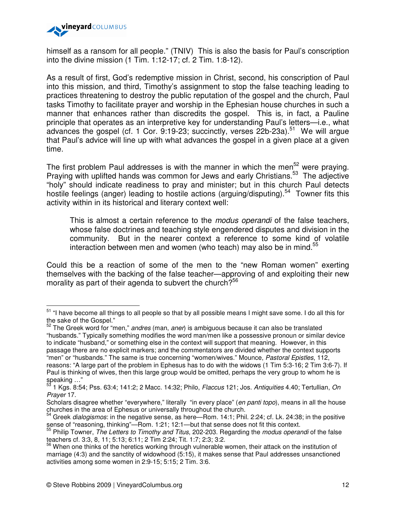

 $\overline{a}$ 

himself as a ransom for all people." (TNIV) This is also the basis for Paul's conscription into the divine mission (1 Tim. 1:12-17; cf. 2 Tim. 1:8-12).

As a result of first, God's redemptive mission in Christ, second, his conscription of Paul into this mission, and third, Timothy's assignment to stop the false teaching leading to practices threatening to destroy the public reputation of the gospel and the church, Paul tasks Timothy to facilitate prayer and worship in the Ephesian house churches in such a manner that enhances rather than discredits the gospel. This is, in fact, a Pauline principle that operates as an interpretive key for understanding Paul's letters—i.e., what advances the gospel (cf. 1 Cor. 9:19-23; succinctly, verses  $22b-23a$ ).<sup>51</sup> We will arque that Paul's advice will line up with what advances the gospel in a given place at a given time.

The first problem Paul addresses is with the manner in which the men<sup>52</sup> were praying. Praying with uplifted hands was common for Jews and early Christians.<sup>53</sup> The adjective "holy" should indicate readiness to pray and minister; but in this church Paul detects hostile feelings (anger) leading to hostile actions (arguing/disputing).<sup>54</sup> Towner fits this activity within in its historical and literary context well:

This is almost a certain reference to the *modus operandi* of the false teachers, whose false doctrines and teaching style engendered disputes and division in the community. But in the nearer context a reference to some kind of volatile interaction between men and women (who teach) may also be in mind. $55$ 

Could this be a reaction of some of the men to the "new Roman women" exerting themselves with the backing of the false teacher—approving of and exploiting their new morality as part of their agenda to subvert the church? $56$ 

<sup>&</sup>lt;sup>51</sup> "I have become all things to all people so that by all possible means I might save some. I do all this for the sake of the Gospel."

 $52$  The Greek word for "men," andres (man, aner) is ambiguous because it can also be translated "husbands." Typically something modifies the word man/men like a possessive pronoun or similar device to indicate "husband," or something else in the context will support that meaning. However, in this passage there are no explicit markers; and the commentators are divided whether the context supports "men" or "husbands." The same is true concerning "women/wives." Mounce, Pastoral Epistles, 112,

reasons: "A large part of the problem in Ephesus has to do with the widows (1 Tim 5:3-16; 2 Tim 3:6-7). If Paul is thinking of wives, then this large group would be omitted, perhaps the very group to whom he is speaking  $\frac{1}{53}$  ..."

<sup>53</sup> 1 Kgs. 8:54; Pss. 63:4; 141:2; 2 Macc. 14:32; Philo, Flaccus 121; Jos. Antiquities 4.40; Tertullian, On Prayer 17.

Scholars disagree whether "everywhere," literally "in every place" (en panti topo), means in all the house churches in the area of Ephesus or universally throughout the church.

Greek dialogismos: in the negative sense, as here—Rom. 14:1; Phil. 2:24; cf. Lk. 24:38; in the positive sense of "reasoning, thinking"—Rom. 1:21; 12:1—but that sense does not fit this context.

<sup>&</sup>lt;sup>55</sup> Philip Towner, The Letters to Timothy and Titus, 202-203. Regarding the modus operandi of the false teachers cf. 3:3, 8, 11; 5:13; 6:11; 2 Tim 2:24; Tit. 1:7; 2:3; 3:2.

<sup>&</sup>lt;sup>56</sup> When one thinks of the heretics working through vulnerable women, their attack on the institution of marriage (4:3) and the sanctity of widowhood (5:15), it makes sense that Paul addresses unsanctioned activities among some women in 2:9-15; 5:15; 2 Tim. 3:6.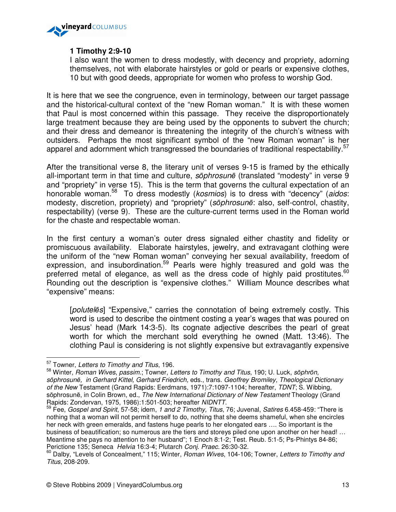

# **1 Timothy 2:9-10**

I also want the women to dress modestly, with decency and propriety, adorning themselves, not with elaborate hairstyles or gold or pearls or expensive clothes, 10 but with good deeds, appropriate for women who profess to worship God.

It is here that we see the congruence, even in terminology, between our target passage and the historical-cultural context of the "new Roman woman." It is with these women that Paul is most concerned within this passage. They receive the disproportionately large treatment because they are being used by the opponents to subvert the church; and their dress and demeanor is threatening the integrity of the church's witness with outsiders. Perhaps the most significant symbol of the "new Roman woman" is her apparel and adornment which transgressed the boundaries of traditional respectability.<sup>57</sup>

After the transitional verse 8, the literary unit of verses 9-15 is framed by the ethically all-important term in that time and culture, sophrosune (translated "modesty" in verse 9 and "propriety" in verse 15). This is the term that governs the cultural expectation of an honorable woman.<sup>58</sup> To dress modestly (*kosmios*) is to dress with "decency" (*aidos*: modesty, discretion, propriety) and "propriety" (sōphrosunē: also, self-control, chastity, respectability) (verse 9). These are the culture-current terms used in the Roman world for the chaste and respectable woman.

In the first century a woman's outer dress signaled either chastity and fidelity or promiscuous availability. Elaborate hairstyles, jewelry, and extravagant clothing were the uniform of the "new Roman woman" conveying her sexual availability, freedom of expression, and insubordination.<sup>59</sup> Pearls were highly treasured and gold was the preferred metal of elegance, as well as the dress code of highly paid prostitutes. $60$ Rounding out the description is "expensive clothes." William Mounce describes what "expensive" means:

[poluteles] "Expensive," carries the connotation of being extremely costly. This word is used to describe the ointment costing a year's wages that was poured on Jesus' head (Mark 14:3-5). Its cognate adjective describes the pearl of great worth for which the merchant sold everything he owned (Matt. 13:46). The clothing Paul is considering is not slightly expensive but extravagantly expensive

 $57$  Towner, Letters to Timothy and Titus, 196.

<sup>&</sup>lt;sup>58</sup> Winter, Roman Wives, passim.; Towner, Letters to Timothy and Titus, 190; U. Luck, sophron, sōphrosunē, in Gerhard Kittel, Gerhard Friedrich, eds., trans. Geoffrey Bromiley, Theological Dictionary of the New Testament (Grand Rapids: Eerdmans, 1971):7:1097-1104; hereafter, TDNT; S. Wibbing, sōphrosunē, in Colin Brown, ed., The New International Dictionary of New Testament Theology (Grand Rapids: Zondervan, 1975, 1986):1:501-503; hereafter NIDNTT.

<sup>&</sup>lt;sup>59</sup> Fee, Gospel and Spirit, 57-58; idem, 1 and 2 Timothy, Titus, 76; Juvenal, Satires 6.458-459: "There is nothing that a woman will not permit herself to do, nothing that she deems shameful, when she encircles her neck with green emeralds, and fastens huge pearls to her elongated ears .... So important is the business of beautification; so numerous are the tiers and storeys piled one upon another on her head! ... Meantime she pays no attention to her husband"; 1 Enoch 8:1-2; Test. Reub. 5:1-5; Ps-Phintys 84-86; Perictione 135; Seneca Helvia 16:3-4; Plutarch Conj. Praec. 26:30-32.

<sup>&</sup>lt;sup>60</sup> Dalby, "Levels of Concealment," 115; Winter, Roman Wives, 104-106; Towner, Letters to Timothy and Titus, 208-209.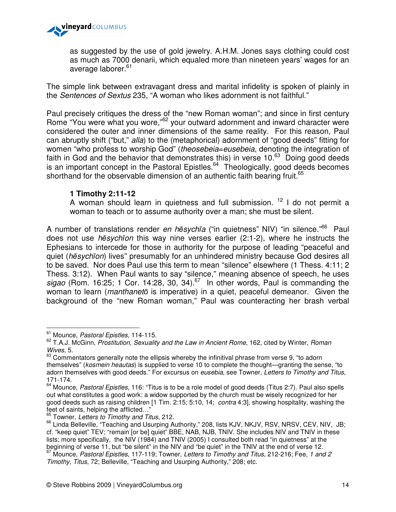

as suggested by the use of gold jewelry. A.H.M. Jones says clothing could cost as much as 7000 denarii, which equaled more than nineteen years' wages for an average laborer.<sup>61</sup>

The simple link between extravagant dress and marital infidelity is spoken of plainly in the Sentences of Sextus 235, "A woman who likes adornment is not faithful."

Paul precisely critiques the dress of the "new Roman woman"; and since in first century Rome "You were what you wore,"<sup>62</sup> your outward adornment and inward character were considered the outer and inner dimensions of the same reality. For this reason, Paul can abruptly shift ("but," alla) to the (metaphorical) adornment of "good deeds" fitting for women "who profess to worship God" (theosebeia=eusebeia, denoting the integration of faith in God and the behavior that demonstrates this) in verse  $10<sup>63</sup>$  Doing good deeds is an important concept in the Pastoral Epistles. $64$  Theologically, good deeds becomes shorthand for the observable dimension of an authentic faith bearing fruit.<sup>65</sup>

## **1 Timothy 2:11-12**

A woman should learn in quietness and full submission.  $12$  I do not permit a woman to teach or to assume authority over a man; she must be silent.

A number of translations render *en hēsychīa* ("in quietness" NIV) "in silence."<sup>66</sup> Paul does not use hēsychīon this way nine verses earlier (2:1-2), where he instructs the Ephesians to intercede for those in authority for the purpose of leading "peaceful and quiet (hēsychīon) lives" presumably for an unhindered ministry because God desires all to be saved. Nor does Paul use this term to mean "silence" elsewhere (1 Thess. 4:11; 2 Thess. 3:12). When Paul wants to say "silence," meaning absence of speech, he uses sigao (Rom. 16:25; 1 Cor. 14:28, 30, 34).<sup>67</sup> In other words, Paul is commanding the woman to learn (*manthaneto* is imperative) in a quiet, peaceful demeanor. Given the background of the "new Roman woman," Paul was counteracting her brash verbal

l.

<sup>&</sup>lt;sup>61</sup> Mounce, Pastoral Epistles, 114-115.

<sup>&</sup>lt;sup>62</sup> T.A.J. McGinn, Prostitution, Sexuality and the Law in Ancient Rome, 162, cited by Winter, Roman Wives, 5.

 $63$  Commentators generally note the ellipsis whereby the infinitival phrase from verse 9, "to adorn themselves" (kosmein heautas) is supplied to verse 10 to complete the thought—granting the sense, "to adorn themselves with good deeds." For excursus on eusebia, see Towner, Letters to Timothy and Titus, 171-174.

<sup>&</sup>lt;sup>64</sup> Mounce, Pastoral Epistles, 116: "Titus is to be a role model of good deeds (Titus 2:7). Paul also spells out what constitutes a good work: a widow supported by the church must be wisely recognized for her good deeds such as raising children [1 Tim. 2:15; 5:10, 14; contra 4:3], showing hospitality, washing the feet of saints, helping the afflicted…"

<sup>&</sup>lt;sup>65</sup> Towner, Letters to Timothy and Titus, 212.

<sup>&</sup>lt;sup>66</sup> Linda Belleville, "Teaching and Usurping Authority," 208, lists KJV, NKJV, RSV, NRSV, CEV, NIV, JB; cf. "keep quiet" TEV; "remain [or be] quiet" BBE, NAB, NJB, TNIV. She includes NIV and TNIV in these lists; more specifically, the NIV (1984) and TNIV (2005) I consulted both read "in quietness" at the beginning of verse 11, but "be silent" in the NIV and "be quiet" in the TNIV at the end of verse 12.  $67$  Mounce, Pastoral Epistles, 117-119; Towner, Letters to Timothy and Titus, 212-216; Fee, 1 and 2

Timothy, Titus, 72; Belleville, "Teaching and Usurping Authority," 208; etc.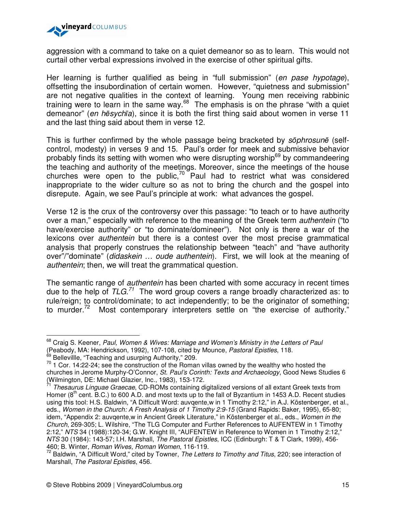

aggression with a command to take on a quiet demeanor so as to learn. This would not curtail other verbal expressions involved in the exercise of other spiritual gifts.

Her learning is further qualified as being in "full submission" (en pase hypotage), offsetting the insubordination of certain women. However, "quietness and submission" are not negative qualities in the context of learning. Young men receiving rabbinic training were to learn in the same way. $68$  The emphasis is on the phrase "with a quiet demeanor" (en hēsychīa), since it is both the first thing said about women in verse 11 and the last thing said about them in verse 12.

This is further confirmed by the whole passage being bracketed by sophrosune (selfcontrol, modesty) in verses 9 and 15. Paul's order for meek and submissive behavior probably finds its setting with women who were disrupting worship<sup>69</sup> by commandeering the teaching and authority of the meetings. Moreover, since the meetings of the house churches were open to the public, $70^\circ$  Paul had to restrict what was considered inappropriate to the wider culture so as not to bring the church and the gospel into disrepute. Again, we see Paul's principle at work: what advances the gospel.

Verse 12 is the crux of the controversy over this passage: "to teach or to have authority over a man," especially with reference to the meaning of the Greek term *authentein* ("to have/exercise authority" or "to dominate/domineer"). Not only is there a war of the lexicons over authentein but there is a contest over the most precise grammatical analysis that properly construes the relationship between "teach" and "have authority over"/"dominate" (didaskein ... oude authentein). First, we will look at the meaning of authentein; then, we will treat the grammatical question.

The semantic range of *authentein* has been charted with some accuracy in recent times due to the help of  $TLG$ <sup>71</sup>. The word group covers a range broadly characterized as: to rule/reign; to control/dominate; to act independently; to be the originator of something; to murder. $72$  Most contemporary interpreters settle on "the exercise of authority."

<sup>&</sup>lt;sup>68</sup> Craig S. Keener, Paul, Women & Wives: Marriage and Women's Ministry in the Letters of Paul (Peabody, MA: Hendrickson, 1992), 107-108, cited by Mounce, Pastoral Epistles, 118.

<sup>&</sup>lt;sup>69</sup> Bellevillle, "Teaching and usurping Authority," 209.

<sup>70</sup> 1 Cor. 14:22-24; see the construction of the Roman villas owned by the wealthy who hosted the churches in Jerome Murphy-O'Connor, St. Paul's Corinth: Texts and Archaeology, Good News Studies 6 (Wilmington, DE: Michael Glazier, Inc., 1983), 153-172.

<sup>&</sup>lt;sup>71</sup> Thesaurus Linguae Graecae, CD-ROMs containing digitalized versions of all extant Greek texts from Homer ( $8<sup>th</sup>$  cent. B.C.) to 600 A.D. and most texts up to the fall of Byzantium in 1453 A.D. Recent studies using this tool: H.S. Baldwin, "A Difficult Word: auvqente,w in 1 Timothy 2:12," in A.J. Köstenberger, et al., eds., Women in the Church: A Fresh Analysis of 1 Timothy 2:9-15 (Grand Rapids: Baker, 1995), 65-80; idem, "Appendix 2: auvgente,w in Ancient Greek Literature," in Köstenberger et al., eds., Women in the Church, 269-305; L. Wilshire, "The TLG Computer and Further References to AUFENTEW in 1 Timothy 2:12," NTS 34 (1988):120-34; G.W. Knight III, "AUFENTEW in Reference to Women in 1 Timothy 2:12," NTS 30 (1984): 143-57; I.H. Marshall, The Pastoral Epistles, ICC (Edinburgh: T & T Clark, 1999), 456- 460; B. Winter, Roman Wives, Roman Women, 116-119.

 $72$  Baldwin, "A Difficult Word," cited by Towner, The Letters to Timothy and Titus, 220; see interaction of Marshall, The Pastoral Epistles, 456.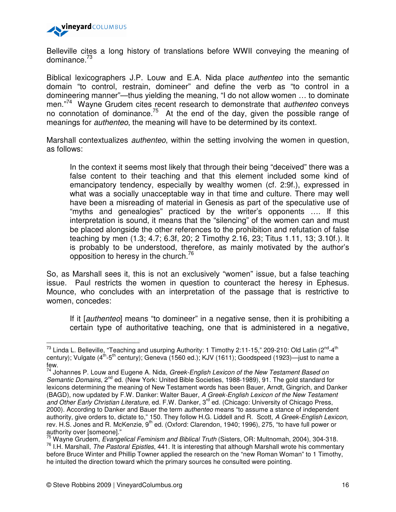

Belleville cites a long history of translations before WWII conveying the meaning of dominance.<sup>73</sup>

Biblical lexicographers J.P. Louw and E.A. Nida place authenteo into the semantic domain "to control, restrain, domineer" and define the verb as "to control in a domineering manner"—thus yielding the meaning, "I do not allow women … to dominate men."<sup>74</sup> Wayne Grudem cites recent research to demonstrate that *authenteo* conveys noth the connotation of dominance.<sup>75</sup> At the end of the day, given the possible range of meanings for authenteo, the meaning will have to be determined by its context.

Marshall contextualizes *authenteo*, within the setting involving the women in question, as follows:

In the context it seems most likely that through their being "deceived" there was a false content to their teaching and that this element included some kind of emancipatory tendency, especially by wealthy women (cf. 2:9f.), expressed in what was a socially unacceptable way in that time and culture. There may well have been a misreading of material in Genesis as part of the speculative use of "myths and genealogies" practiced by the writer's opponents …. If this interpretation is sound, it means that the "silencing" of the women can and must be placed alongside the other references to the prohibition and refutation of false teaching by men (1.3; 4.7; 6.3f, 20; 2 Timothy 2.16, 23; Titus 1.11, 13; 3.10f.). It is probably to be understood, therefore, as mainly motivated by the author's opposition to heresy in the church. $^{76}$ 

So, as Marshall sees it, this is not an exclusively "women" issue, but a false teaching issue. Paul restricts the women in question to counteract the heresy in Ephesus. Mounce, who concludes with an interpretation of the passage that is restrictive to women, concedes:

If it [*authenteo*] means "to domineer" in a negative sense, then it is prohibiting a certain type of authoritative teaching, one that is administered in a negative,

 $^{73}$  Linda L. Belleville, "Teaching and usurping Authority: 1 Timothy 2:11-15," 209-210: Old Latin (2<sup>nd</sup>-4<sup>th</sup>) century); Vulgate (4<sup>th</sup>-5<sup>th</sup> century); Geneva (1560 ed.); KJV (1611); Goodspeed (1923)—just to name a few.

<sup>&</sup>lt;sup>74</sup> Johannes P. Louw and Eugene A. Nida, *Greek-English Lexicon of the New Testament Based on* Semantic Domains, 2<sup>nd</sup> ed. (New York: United Bible Societies, 1988-1989), 91. The gold standard for lexicons determining the meaning of New Testament words has been Bauer, Arndt, Gingrich, and Danker (BAGD), now updated by F.W. Danker: Walter Bauer, A Greek-English Lexicon of the New Testament and Other Early Christian Literature, ed. F.W. Danker, 3<sup>rd</sup> ed. (Chicago: University of Chicago Press, 2000). According to Danker and Bauer the term authenteo means "to assume a stance of independent authority, give orders to, dictate to," 150. They follow H.G. Liddell and R. Scott, A Greek-English Lexicon, rev. H.S. Jones and R. McKenzie, 9<sup>th</sup> ed. (Oxford: Clarendon, 1940; 1996), 275, "to have full power or authority over [someone]."

 $\frac{75}{2}$  Wayne Grudem, Evangelical Feminism and Biblical Truth (Sisters, OR: Multnomah, 2004), 304-318.  $76$  I.H. Marshall, The Pastoral Epistles, 441. It is interesting that although Marshall wrote his commentary before Bruce Winter and Phillip Towner applied the research on the "new Roman Woman" to 1 Timothy, he intuited the direction toward which the primary sources he consulted were pointing.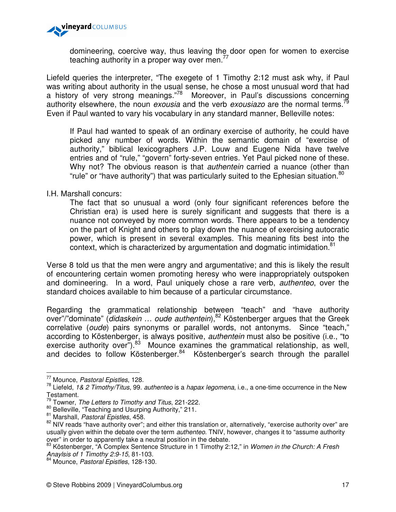

domineering, coercive way, thus leaving the door open for women to exercise teaching authority in a proper way over men. $^{77}$ 

Liefeld queries the interpreter, "The exegete of 1 Timothy 2:12 must ask why, if Paul was writing about authority in the usual sense, he chose a most unusual word that had a history of very strong meanings."<sup>78</sup> Moreover, in Paul's discussions concerning authority elsewhere, the noun exousia and the verb exousiazo are the normal terms.<sup>79</sup> Even if Paul wanted to vary his vocabulary in any standard manner, Belleville notes:

If Paul had wanted to speak of an ordinary exercise of authority, he could have picked any number of words. Within the semantic domain of "exercise of authority," biblical lexicographers J.P. Louw and Eugene Nida have twelve entries and of "rule," "govern" forty-seven entries. Yet Paul picked none of these. Why not? The obvious reason is that *authentein* carried a nuance (other than "rule" or "have authority") that was particularly suited to the Ephesian situation.<sup>80</sup>

I.H. Marshall concurs:

The fact that so unusual a word (only four significant references before the Christian era) is used here is surely significant and suggests that there is a nuance not conveyed by more common words. There appears to be a tendency on the part of Knight and others to play down the nuance of exercising autocratic power, which is present in several examples. This meaning fits best into the context, which is characterized by argumentation and dogmatic intimidation.<sup>81</sup>

Verse 8 told us that the men were angry and argumentative; and this is likely the result of encountering certain women promoting heresy who were inappropriately outspoken and domineering. In a word, Paul uniquely chose a rare verb, authenteo, over the standard choices available to him because of a particular circumstance.

Regarding the grammatical relationship between "teach" and "have authority over"/"dominate" (didaskein ... oude authentein),<sup>82</sup> Köstenberger argues that the Greek correlative (oude) pairs synonyms or parallel words, not antonyms. Since "teach," according to Köstenberger, is always positive, authentein must also be positive (i.e., "to exercise authority over").<sup>83</sup> Mounce examines the grammatical relationship, as well, and decides to follow Köstenberger.<sup>84</sup> Köstenberger's search through the parallel

l.

<sup>77</sup> Mounce, Pastoral Epistles, 128.

 $78$  Liefeld, 1& 2 Timothy/Titus, 99. authenteo is a hapax legomena, i.e., a one-time occurrence in the New Testament.

 $79$  Towner, The Letters to Timothy and Titus, 221-222.

<sup>80</sup> Belleville, "Teaching and Usurping Authority," 211.

<sup>81</sup> Marshall, Pastoral Epistles, 458.

<sup>&</sup>lt;sup>82</sup> NIV reads "have authority over"; and either this translation or, alternatively, "exercise authority over" are usually given within the debate over the term *authenteo*. TNIV, however, changes it to "assume authority over" in order to apparently take a neutral position in the debate.

<sup>83</sup> Köstenberger, "A Complex Sentence Structure in 1 Timothy 2:12," in Women in the Church: A Fresh Anaylsis of 1 Timothy 2:9-15, 81-103.

<sup>84</sup> Mounce, Pastoral Epistles, 128-130.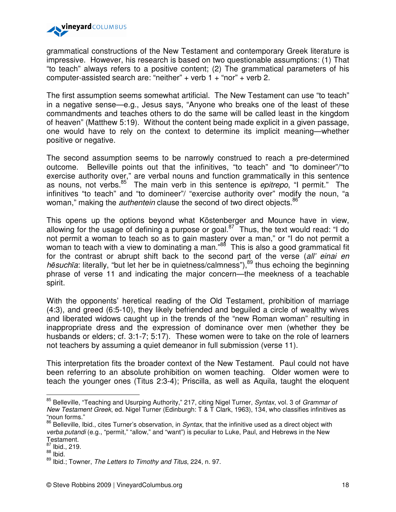

grammatical constructions of the New Testament and contemporary Greek literature is impressive. However, his research is based on two questionable assumptions: (1) That "to teach" always refers to a positive content; (2) The grammatical parameters of his computer-assisted search are: "neither" + verb  $1 +$  "nor" + verb 2.

The first assumption seems somewhat artificial. The New Testament can use "to teach" in a negative sense—e.g., Jesus says, "Anyone who breaks one of the least of these commandments and teaches others to do the same will be called least in the kingdom of heaven" (Matthew 5:19). Without the content being made explicit in a given passage, one would have to rely on the context to determine its implicit meaning—whether positive or negative.

The second assumption seems to be narrowly construed to reach a pre-determined outcome. Belleville points out that the infinitives, "to teach" and "to domineer"/"to exercise authority over," are verbal nouns and function grammatically in this sentence as nouns, not verbs. $85^{6}$  The main verb in this sentence is *epitrepo*, "I permit." The infinitives "to teach" and "to domineer"/ "exercise authority over" modify the noun, "a woman," making the *authentein* clause the second of two direct objects.<sup>86</sup>

This opens up the options beyond what Köstenberger and Mounce have in view, allowing for the usage of defining a purpose or goal. $87$  Thus, the text would read: "I do not permit a woman to teach so as to gain mastery over a man," or "I do not permit a woman to teach with a view to dominating a man."<sup>88</sup> This is also a good grammatical fit for the contrast or abrupt shift back to the second part of the verse (all' einai en hēsuchīa: literally, "but let her be in quietness/calmness"),  $89$  thus echoing the beginning phrase of verse 11 and indicating the major concern—the meekness of a teachable spirit.

With the opponents' heretical reading of the Old Testament, prohibition of marriage (4:3), and greed (6:5-10), they likely befriended and beguiled a circle of wealthy wives and liberated widows caught up in the trends of the "new Roman woman" resulting in inappropriate dress and the expression of dominance over men (whether they be husbands or elders; cf. 3:1-7; 5:17). These women were to take on the role of learners not teachers by assuming a quiet demeanor in full submission (verse 11).

This interpretation fits the broader context of the New Testament. Paul could not have been referring to an absolute prohibition on women teaching. Older women were to teach the younger ones (Titus 2:3-4); Priscilla, as well as Aquila, taught the eloquent

<sup>&</sup>lt;sup>85</sup> Belleville, "Teaching and Usurping Authority," 217, citing Nigel Turner, Syntax, vol. 3 of Grammar of New Testament Greek, ed. Nigel Turner (Edinburgh: T & T Clark, 1963), 134, who classifies infinitives as "noun forms."

<sup>86</sup> Belleville, Ibid., cites Turner's observation, in Syntax, that the infinitive used as a direct object with verba putandi (e.g., "permit," "allow," and "want") is peculiar to Luke, Paul, and Hebrews in the New Testament.

<sup>87</sup> Ibid., 219.

 $88$  Ibid.

<sup>89</sup> Ibid.; Towner, The Letters to Timothy and Titus, 224, n. 97.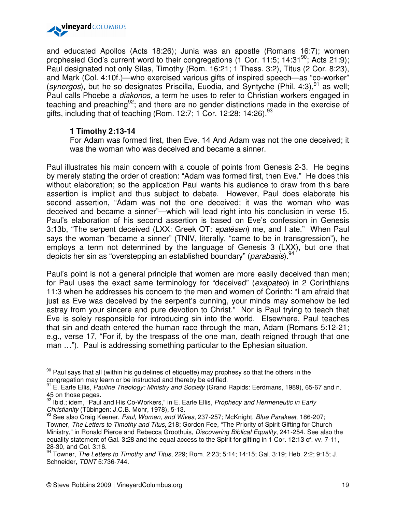

and educated Apollos (Acts 18:26); Junia was an apostle (Romans 16:7); women prophesied God's current word to their congregations (1 Cor. 11:5;  $14:31^{90}$ ; Acts 21:9); Paul designated not only Silas, Timothy (Rom. 16:21; 1 Thess. 3:2), Titus (2 Cor. 8:23), and Mark (Col. 4:10f.)—who exercised various gifts of inspired speech—as "co-worker" (synergos), but he so designates Priscilla, Euodia, and Syntyche (Phil. 4:3),  $91$  as well; Paul calls Phoebe a diakonos, a term he uses to refer to Christian workers engaged in teaching and preaching<sup>92</sup>; and there are no gender distinctions made in the exercise of gifts, including that of teaching (Rom. 12:7; 1 Cor. 12:28; 14:26).  $^{93}$ 

## **1 Timothy 2:13-14**

For Adam was formed first, then Eve. 14 And Adam was not the one deceived; it was the woman who was deceived and became a sinner.

Paul illustrates his main concern with a couple of points from Genesis 2-3. He begins by merely stating the order of creation: "Adam was formed first, then Eve." He does this without elaboration; so the application Paul wants his audience to draw from this bare assertion is implicit and thus subject to debate. However, Paul does elaborate his second assertion, "Adam was not the one deceived; it was the woman who was deceived and became a sinner"—which will lead right into his conclusion in verse 15. Paul's elaboration of his second assertion is based on Eve's confession in Genesis 3:13b, "The serpent deceived (LXX: Greek OT: epatēsen) me, and I ate." When Paul says the woman "became a sinner" (TNIV, literally, "came to be in transgression"), he employs a term not determined by the language of Genesis 3 (LXX), but one that depicts her sin as "overstepping an established boundary" (parabasis). <sup>94</sup>

Paul's point is not a general principle that women are more easily deceived than men; for Paul uses the exact same terminology for "deceived" (exapateo) in 2 Corinthians 11:3 when he addresses his concern to the men and women of Corinth: "I am afraid that just as Eve was deceived by the serpent's cunning, your minds may somehow be led astray from your sincere and pure devotion to Christ." Nor is Paul trying to teach that Eve is solely responsible for introducing sin into the world. Elsewhere, Paul teaches that sin and death entered the human race through the man, Adam (Romans 5:12-21; e.g., verse 17, "For if, by the trespass of the one man, death reigned through that one man …"). Paul is addressing something particular to the Ephesian situation.

<sup>90</sup> Paul says that all (within his guidelines of etiquette) may prophesy so that the others in the congregation may learn or be instructed and thereby be edified.

<sup>&</sup>lt;sup>91</sup> E. Earle Ellis, Pauline Theology: Ministry and Society (Grand Rapids: Eerdmans, 1989), 65-67 and n. 45 on those pages.

 $92$  Ibid.; idem, "Paul and His Co-Workers," in E. Earle Ellis, Prophecy and Hermeneutic in Early Christianity (Tübingen: J.C.B. Mohr, 1978), 5-13.

<sup>&</sup>lt;sup>93</sup> See also Craig Keener, Paul, Women, and Wives, 237-257; McKnight, Blue Parakeet, 186-207; Towner, The Letters to Timothy and Titus, 218; Gordon Fee, "The Priority of Spirit Gifting for Church Ministry," in Ronald Pierce and Rebecca Groothuis, *Discovering Biblical Equality*, 241-254. See also the equality statement of Gal. 3:28 and the equal access to the Spirit for gifting in 1 Cor. 12:13 cf. vv. 7-11, 28-30, and Col. 3:16.

<sup>94</sup> Towner, The Letters to Timothy and Titus, 229; Rom. 2:23; 5:14; 14:15; Gal. 3:19; Heb. 2:2; 9:15; J. Schneider, TDNT 5:736-744.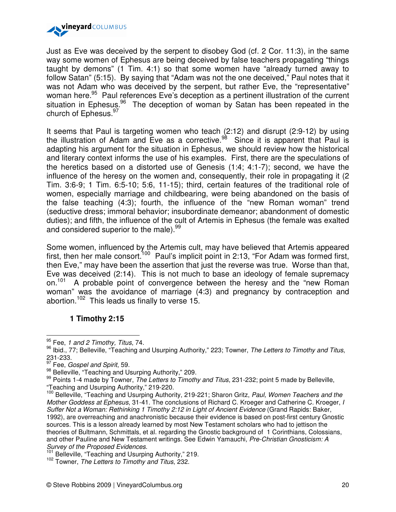

Just as Eve was deceived by the serpent to disobey God (cf. 2 Cor. 11:3), in the same way some women of Ephesus are being deceived by false teachers propagating "things taught by demons" (1 Tim. 4:1) so that some women have "already turned away to follow Satan" (5:15). By saying that "Adam was not the one deceived," Paul notes that it was not Adam who was deceived by the serpent, but rather Eve, the "representative" woman here.<sup>95</sup> Paul references Eve's deception as a pertinent illustration of the current situation in Ephesus.<sup>96</sup> The deception of woman by Satan has been repeated in the church of Ephesus.<sup>97</sup>

It seems that Paul is targeting women who teach (2:12) and disrupt (2:9-12) by using the illustration of Adam and Eve as a corrective.<sup>98</sup> Since it is apparent that Paul is adapting his argument for the situation in Ephesus, we should review how the historical and literary context informs the use of his examples. First, there are the speculations of the heretics based on a distorted use of Genesis (1:4; 4:1-7); second, we have the influence of the heresy on the women and, consequently, their role in propagating it (2 Tim. 3:6-9; 1 Tim. 6:5-10; 5:6, 11-15); third, certain features of the traditional role of women, especially marriage and childbearing, were being abandoned on the basis of the false teaching (4:3); fourth, the influence of the "new Roman woman" trend (seductive dress; immoral behavior; insubordinate demeanor; abandonment of domestic duties); and fifth, the influence of the cult of Artemis in Ephesus (the female was exalted and considered superior to the male).<sup>99</sup>

Some women, influenced by the Artemis cult, may have believed that Artemis appeared first, then her male consort.<sup>100</sup> Paul's implicit point in 2:13, "For Adam was formed first, then Eve," may have been the assertion that just the reverse was true. Worse than that, Eve was deceived (2:14). This is not much to base an ideology of female supremacy on.<sup>101</sup> A probable point of convergence between the heresy and the "new Roman woman" was the avoidance of marriage (4:3) and pregnancy by contraception and abortion.<sup>102</sup> This leads us finally to verse 15.

### **1 Timothy 2:15**

 $95$  Fee, 1 and 2 Timothy, Titus, 74.

<sup>96</sup> Ibid., 77; Belleville, "Teaching and Usurping Authority," 223; Towner, The Letters to Timothy and Titus, 231-233.

<sup>&</sup>lt;sup>97</sup> Fee, *Gospel and Spirit*, 59.

<sup>98</sup> Belleville, "Teaching and Usurping Authority," 209.

<sup>99</sup> Points 1-4 made by Towner, The Letters to Timothy and Titus, 231-232; point 5 made by Belleville, "Teaching and Usurping Authority," 219-220.

<sup>100</sup> Belleville, "Teaching and Usurping Authority, 219-221; Sharon Gritz, Paul, Women Teachers and the Mother Goddess at Ephesus, 31-41. The conclusions of Richard C. Kroeger and Catherine C. Kroeger, I Suffer Not a Woman: Rethinking 1 Timothy 2:12 in Light of Ancient Evidence (Grand Rapids: Baker, 1992), are overreaching and anachronistic because their evidence is based on post-first century Gnostic sources. This is a lesson already learned by most New Testament scholars who had to jettison the theories of Bultmann, Schmittals, et al. regarding the Gnostic background of 1 Corinthians, Colossians, and other Pauline and New Testament writings. See Edwin Yamauchi, Pre-Christian Gnosticism: A Survey of the Proposed Evidences.

barvey of the Frepobod Enderloop.<br><sup>101</sup> Belleville, "Teaching and Usurping Authority," 219.

<sup>&</sup>lt;sup>102</sup> Towner, The Letters to Timothy and Titus, 232.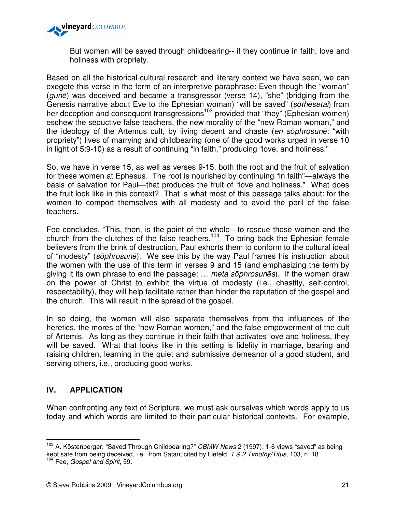

But women will be saved through childbearing-- if they continue in faith, love and holiness with propriety.

Based on all the historical-cultural research and literary context we have seen, we can exegete this verse in the form of an interpretive paraphrase: Even though the "woman" (gunē) was deceived and became a transgressor (verse 14), "she" (bridging from the Genesis narrative about Eve to the Ephesian woman) "will be saved" (sōthēsetai) from her deception and consequent transgressions<sup>103</sup> provided that "they" (Ephesian women) eschew the seductive false teachers, the new morality of the "new Roman woman," and the ideology of the Artemus cult, by living decent and chaste (en sōphrosunē: "with propriety") lives of marrying and childbearing (one of the good works urged in verse 10 in light of 5:9-10) as a result of continuing "in faith," producing "love, and holiness."

So, we have in verse 15, as well as verses 9-15, both the root and the fruit of salvation for these women at Ephesus. The root is nourished by continuing "in faith"—always the basis of salvation for Paul—that produces the fruit of "love and holiness." What does the fruit look like in this context? That is what most of this passage talks about: for the women to comport themselves with all modesty and to avoid the peril of the false teachers.

Fee concludes, "This, then, is the point of the whole—to rescue these women and the church from the clutches of the false teachers.<sup>104</sup> To bring back the Ephesian female believers from the brink of destruction, Paul exhorts them to conform to the cultural ideal of "modesty" (sōphrosunē). We see this by the way Paul frames his instruction about the women with the use of this term in verses 9 and 15 (and emphasizing the term by giving it its own phrase to end the passage: … meta sōphrosunēs). If the women draw on the power of Christ to exhibit the virtue of modesty (i.e., chastity, self-control, respectability), they will help facilitate rather than hinder the reputation of the gospel and the church. This will result in the spread of the gospel.

In so doing, the women will also separate themselves from the influences of the heretics, the mores of the "new Roman women," and the false empowerment of the cult of Artemis. As long as they continue in their faith that activates love and holiness, they will be saved. What that looks like in this setting is fidelity in marriage, bearing and raising children, learning in the quiet and submissive demeanor of a good student, and serving others, i.e., producing good works.

# **IV. APPLICATION**

 $\overline{a}$ 

When confronting any text of Scripture, we must ask ourselves which words apply to us today and which words are limited to their particular historical contexts. For example,

 $103$  A. Köstenberger, "Saved Through Childbearing?" CBMW News 2 (1997): 1-6 views "saved" as being kept safe from being deceived, i.e., from Satan; cited by Liefeld, 1 & 2 Timothy/Titus, 103, n. 18. <sup>104</sup> Fee, Gospel and Spirit, 59.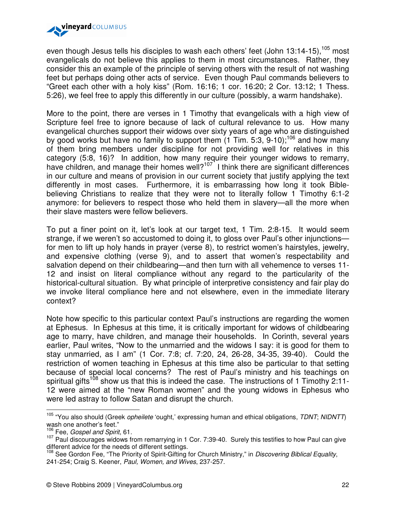

even though Jesus tells his disciples to wash each others' feet (John 13:14-15),  $105$  most evangelicals do not believe this applies to them in most circumstances. Rather, they consider this an example of the principle of serving others with the result of not washing feet but perhaps doing other acts of service. Even though Paul commands believers to "Greet each other with a holy kiss" (Rom. 16:16; 1 cor. 16:20; 2 Cor. 13:12; 1 Thess. 5:26), we feel free to apply this differently in our culture (possibly, a warm handshake).

More to the point, there are verses in 1 Timothy that evangelicals with a high view of Scripture feel free to ignore because of lack of cultural relevance to us. How many evangelical churches support their widows over sixty years of age who are distinguished by good works but have no family to support them  $(1 \text{ Tim. } 5.3, 9.10)$ ;<sup>106</sup> and how many of them bring members under discipline for not providing well for relatives in this category (5:8, 16)? In addition, how many require their younger widows to remarry, have children, and manage their homes well?<sup>107</sup> I think there are significant differences in our culture and means of provision in our current society that justify applying the text differently in most cases. Furthermore, it is embarrassing how long it took Biblebelieving Christians to realize that they were not to literally follow 1 Timothy 6:1-2 anymore: for believers to respect those who held them in slavery—all the more when their slave masters were fellow believers.

To put a finer point on it, let's look at our target text, 1 Tim. 2:8-15. It would seem strange, if we weren't so accustomed to doing it, to gloss over Paul's other injunctions for men to lift up holy hands in prayer (verse 8), to restrict women's hairstyles, jewelry, and expensive clothing (verse 9), and to assert that women's respectability and salvation depend on their childbearing—and then turn with all vehemence to verses 11- 12 and insist on literal compliance without any regard to the particularity of the historical-cultural situation. By what principle of interpretive consistency and fair play do we invoke literal compliance here and not elsewhere, even in the immediate literary context?

Note how specific to this particular context Paul's instructions are regarding the women at Ephesus. In Ephesus at this time, it is critically important for widows of childbearing age to marry, have children, and manage their households. In Corinth, several years earlier, Paul writes, "Now to the unmarried and the widows I say: it is good for them to stay unmarried, as I am" (1 Cor. 7:8; cf. 7:20, 24, 26-28, 34-35, 39-40). Could the restriction of women teaching in Ephesus at this time also be particular to that setting because of special local concerns? The rest of Paul's ministry and his teachings on spiritual gifts<sup>108</sup> show us that this is indeed the case. The instructions of 1 Timothy 2:11-12 were aimed at the "new Roman women" and the young widows in Ephesus who were led astray to follow Satan and disrupt the church.

<sup>&</sup>lt;sup>105</sup> "You also should (Greek *opheilete* 'ought,' expressing human and ethical obligations, TDNT; NIDNTT) wash one another's feet."

<sup>&</sup>lt;sup>106</sup> Fee, Gospel and Spirit, 61.

<sup>107</sup> Paul discourages widows from remarrying in 1 Cor. 7:39-40. Surely this testifies to how Paul can give different advice for the needs of different settings.

<sup>&</sup>lt;sup>108</sup> See Gordon Fee, "The Priority of Spirit-Gifting for Church Ministry," in Discovering Biblical Equality, 241-254; Craig S. Keener, Paul, Women, and Wives, 237-257.